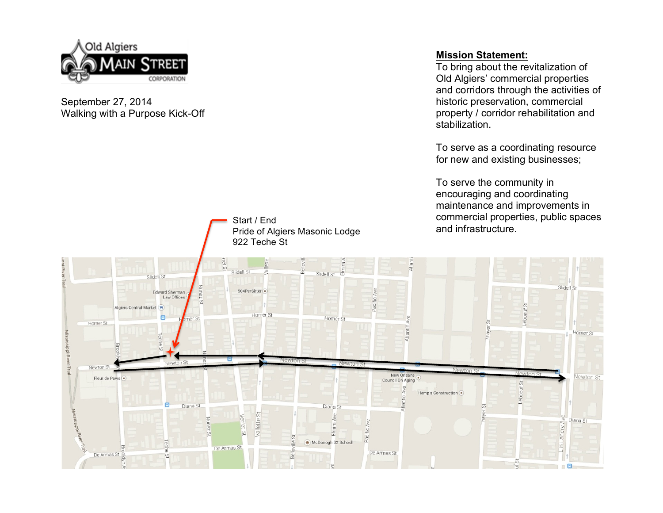

### September 27, 2014 Walking with a Purpose Kick-Off

### **Mission Statement:**

To bring about the revitalization of Old Algiers' commercial properties and corridors through the activities of historic preservation, commercial property / corridor rehabilitation and stabilization.

To serve as a coordinating resource for new and existing businesses;

To serve the community in encouraging and coordinating maintenance and improvements in commercial properties, public spaces and infrastructure.



Start / End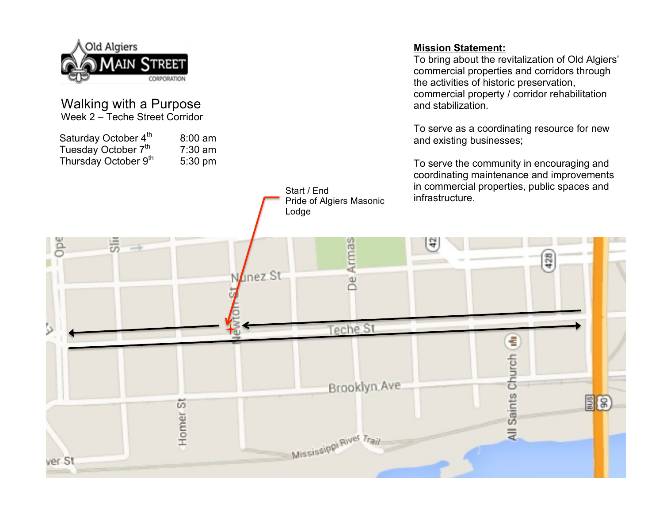

#### Walking with a Purpose Week 2 – Teche Street Corridor

Saturday October  $4<sup>th</sup>$  8:00 am Tuesday October  $7^{th}$  7:30 am<br>Thursday October  $9^{th}$  5:30 pm Thursday October 9<sup>th</sup>

### **Mission Statement:**

To bring about the revitalization of Old Algiers' commercial properties and corridors through the activities of historic preservation, commercial property / corridor rehabilitation and stabilization.

To serve as a coordinating resource for new and existing businesses;

To serve the community in encouraging and coordinating maintenance and improvements in commercial properties, public spaces and Start / End<br>Pride of Algiers Masonic infrastructure.

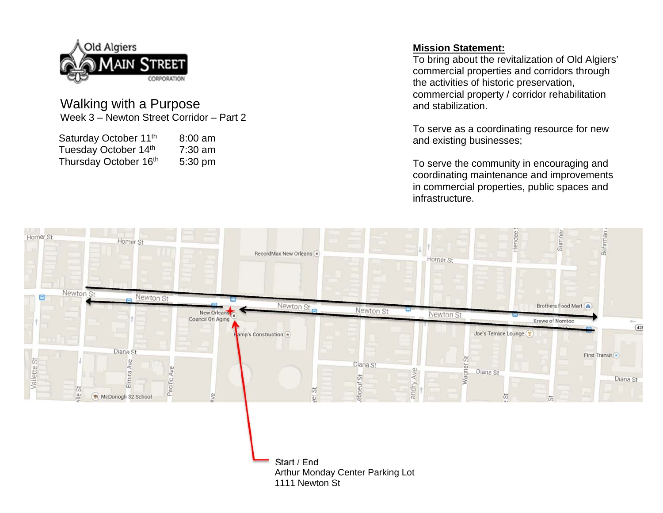

## Walking with a Purpose Week 3 – Newton Street Corridor – Part 2

| Saturday October 11 <sup>th</sup> | $8:00$ am |
|-----------------------------------|-----------|
| Tuesday October 14th              | $7:30$ am |
| Thursday October 16th             | 5:30 pm   |

## **Mission Statement:**

To bring about the revitalization of Old Algiers' commercial properties and corridors through the activities of historic preservation, commercial property / corridor rehabilitation and stabilization.

To serve as a coordinating resource for new and existing businesses;

To serve the community in encouraging and coordinating maintenance and improvements in commercial properties, public spaces and infrastructure.

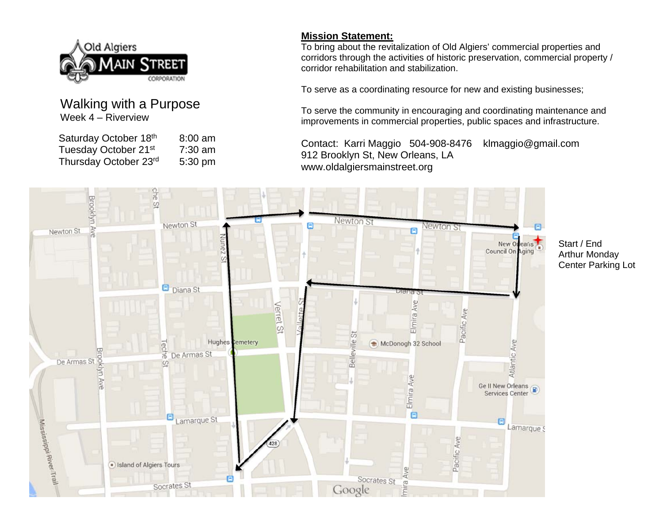

# Walking with a Purpose Week 4 – Riverview

| Saturday October 18th            | $8:00$ am |
|----------------------------------|-----------|
| Tuesday October 21 <sup>st</sup> | $7:30$ am |
| Thursday October 23rd            | 5:30 pm   |

## **Mission Statement:**

To bring about the revitalization of Old Algiers' commercial properties and corridors through the activities of historic preservation, commercial property / corridor rehabilitation and stabilization.

To serve as a coordinating resource for new and existing businesses;

To serve the community in encouraging and coordinating maintenance and improvements in commercial properties, public spaces and infrastructure.

Contact: Karri Maggio 504-908-8476 klmaggio@gmail.com 912 Brooklyn St, New Orleans, LA www.oldalgiersmainstreet.org



Start / End Arthur Monday Center Parking Lot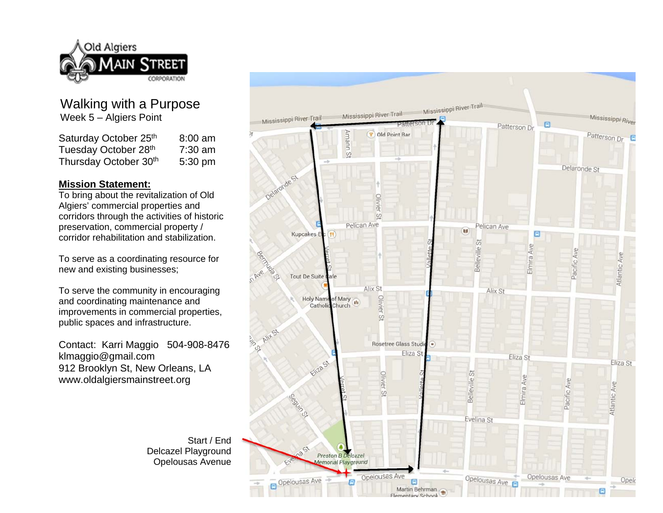

## Walking with a Purpose Week 5 – Algiers Point

| Saturday October 25th | $8:00$ am |
|-----------------------|-----------|
| Tuesday October 28th  | $7:30$ am |
| Thursday October 30th | 5:30 pm   |

#### **Mission Statement:**

To bring about the revitalization of Old Algiers' commercial properties and corridors through the activities of historic preservation, commercial property / corridor rehabilitation and stabilization.

To serve as a coordinating resource for new and existing businesses;

To serve the community in encouraging and coordinating maintenance and improvements in commercial properties, public spaces and infrastructure.

Contact: Karri Maggio 504-908-8476 klmaggio@gmail.com 912 Brooklyn St, New Orleans, LA www.oldalgiersmainstreet.org

> Start / End Delcazel Playground Opelousas Avenue